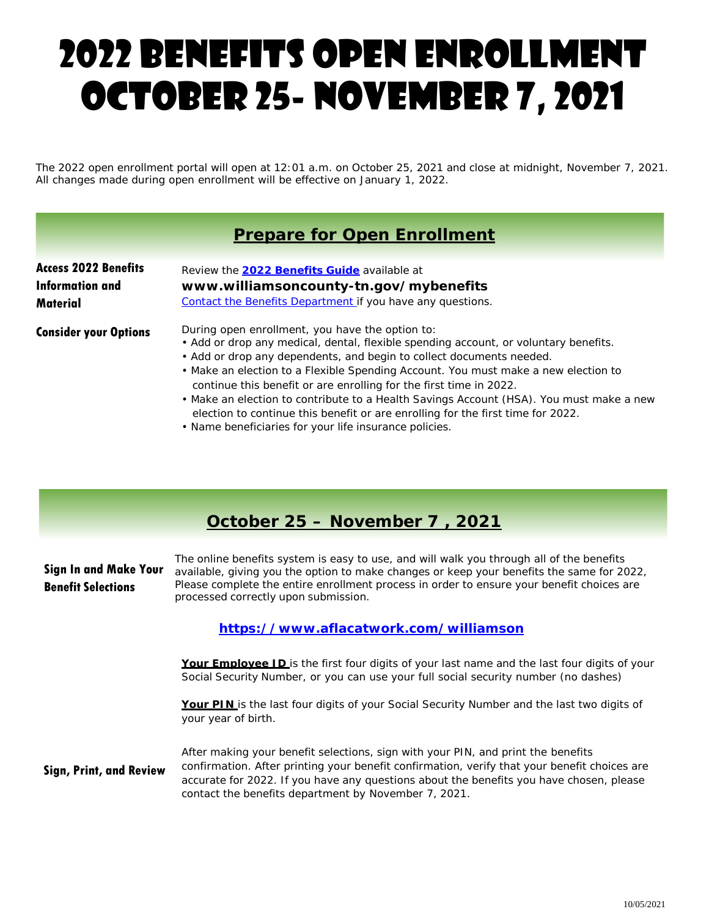# 2022 Benefits open enrollment October 25- November 7, 2021

The 2022 open enrollment portal will open at 12:01 a.m. on October 25, 2021 and close at midnight, November 7, 2021. All changes made during open enrollment will be effective on January 1, 2022.

## **Prepare for Open Enrollment**

| <b>Access 2022 Benefits</b>  | Review the 2022 Benefits Guide available at                                                                                                                                                                                                                                                                                                                                                                                                                                                                                                                                                                         |
|------------------------------|---------------------------------------------------------------------------------------------------------------------------------------------------------------------------------------------------------------------------------------------------------------------------------------------------------------------------------------------------------------------------------------------------------------------------------------------------------------------------------------------------------------------------------------------------------------------------------------------------------------------|
| <b>Information and</b>       | www.williamsoncounty-tn.gov/mybenefits                                                                                                                                                                                                                                                                                                                                                                                                                                                                                                                                                                              |
| Material                     | Contact the Benefits Department if you have any questions.                                                                                                                                                                                                                                                                                                                                                                                                                                                                                                                                                          |
| <b>Consider your Options</b> | During open enrollment, you have the option to:<br>• Add or drop any medical, dental, flexible spending account, or voluntary benefits.<br>• Add or drop any dependents, and begin to collect documents needed.<br>• Make an election to a Flexible Spending Account. You must make a new election to<br>continue this benefit or are enrolling for the first time in 2022.<br>• Make an election to contribute to a Health Savings Account (HSA). You must make a new<br>election to continue this benefit or are enrolling for the first time for 2022.<br>. Name beneficiaries for your life insurance policies. |

# **October 25 – November 7 , 2021**

| <b>Sign In and Make Your</b><br><b>Benefit Selections</b> | The online benefits system is easy to use, and will walk you through all of the benefits<br>available, giving you the option to make changes or keep your benefits the same for 2022,<br>Please complete the entire enrollment process in order to ensure your benefit choices are<br>processed correctly upon submission.          |  |  |  |  |  |  |  |
|-----------------------------------------------------------|-------------------------------------------------------------------------------------------------------------------------------------------------------------------------------------------------------------------------------------------------------------------------------------------------------------------------------------|--|--|--|--|--|--|--|
| https://www.aflacatwork.com/williamson                    |                                                                                                                                                                                                                                                                                                                                     |  |  |  |  |  |  |  |
|                                                           | Your Employee ID is the first four digits of your last name and the last four digits of your<br>Social Security Number, or you can use your full social security number (no dashes)                                                                                                                                                 |  |  |  |  |  |  |  |
|                                                           | <b>Your PIN</b> is the last four digits of your Social Security Number and the last two digits of<br>your year of birth.                                                                                                                                                                                                            |  |  |  |  |  |  |  |
| <b>Sign, Print, and Review</b>                            | After making your benefit selections, sign with your PIN, and print the benefits<br>confirmation. After printing your benefit confirmation, verify that your benefit choices are<br>accurate for 2022. If you have any questions about the benefits you have chosen, please<br>contact the benefits department by November 7, 2021. |  |  |  |  |  |  |  |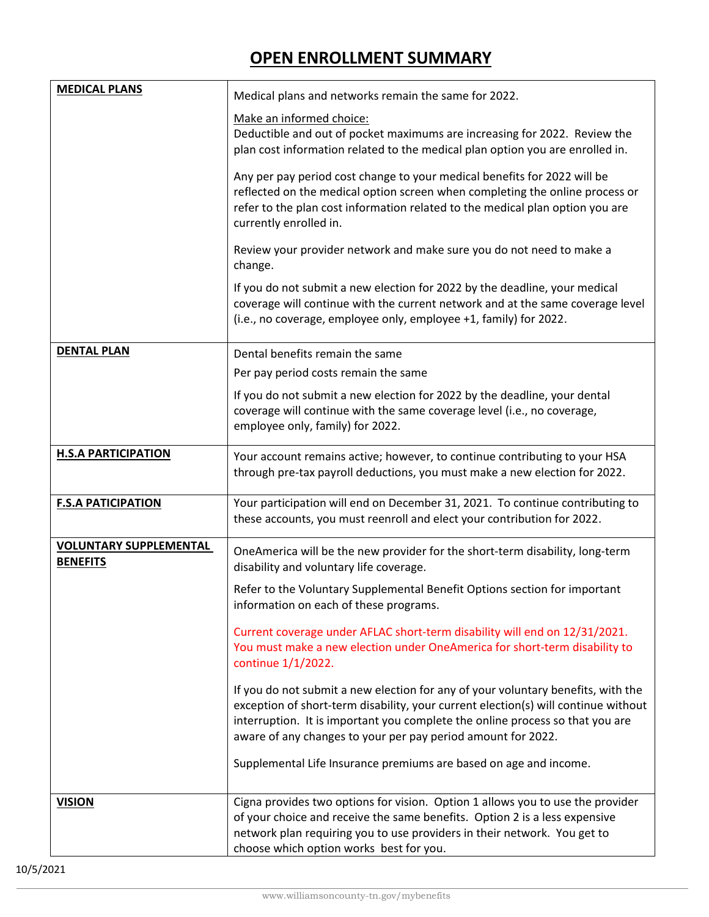# **OPEN ENROLLMENT SUMMARY**

| <b>MEDICAL PLANS</b>                             | Medical plans and networks remain the same for 2022.                                                                                                                                                                                                                                                                    |  |  |  |  |
|--------------------------------------------------|-------------------------------------------------------------------------------------------------------------------------------------------------------------------------------------------------------------------------------------------------------------------------------------------------------------------------|--|--|--|--|
|                                                  | Make an informed choice:<br>Deductible and out of pocket maximums are increasing for 2022. Review the<br>plan cost information related to the medical plan option you are enrolled in.                                                                                                                                  |  |  |  |  |
|                                                  | Any per pay period cost change to your medical benefits for 2022 will be<br>reflected on the medical option screen when completing the online process or<br>refer to the plan cost information related to the medical plan option you are<br>currently enrolled in.                                                     |  |  |  |  |
|                                                  | Review your provider network and make sure you do not need to make a<br>change.                                                                                                                                                                                                                                         |  |  |  |  |
|                                                  | If you do not submit a new election for 2022 by the deadline, your medical<br>coverage will continue with the current network and at the same coverage level<br>(i.e., no coverage, employee only, employee +1, family) for 2022.                                                                                       |  |  |  |  |
| <b>DENTAL PLAN</b>                               | Dental benefits remain the same                                                                                                                                                                                                                                                                                         |  |  |  |  |
|                                                  | Per pay period costs remain the same                                                                                                                                                                                                                                                                                    |  |  |  |  |
|                                                  | If you do not submit a new election for 2022 by the deadline, your dental<br>coverage will continue with the same coverage level (i.e., no coverage,<br>employee only, family) for 2022.                                                                                                                                |  |  |  |  |
| <b>H.S.A PARTICIPATION</b>                       | Your account remains active; however, to continue contributing to your HSA<br>through pre-tax payroll deductions, you must make a new election for 2022.                                                                                                                                                                |  |  |  |  |
| <b>F.S.A PATICIPATION</b>                        | Your participation will end on December 31, 2021. To continue contributing to<br>these accounts, you must reenroll and elect your contribution for 2022.                                                                                                                                                                |  |  |  |  |
| <b>VOLUNTARY SUPPLEMENTAL</b><br><b>BENEFITS</b> | OneAmerica will be the new provider for the short-term disability, long-term<br>disability and voluntary life coverage.                                                                                                                                                                                                 |  |  |  |  |
|                                                  | Refer to the Voluntary Supplemental Benefit Options section for important<br>information on each of these programs.                                                                                                                                                                                                     |  |  |  |  |
|                                                  | Current coverage under AFLAC short-term disability will end on 12/31/2021.<br>You must make a new election under OneAmerica for short-term disability to<br>continue 1/1/2022.                                                                                                                                          |  |  |  |  |
|                                                  | If you do not submit a new election for any of your voluntary benefits, with the<br>exception of short-term disability, your current election(s) will continue without<br>interruption. It is important you complete the online process so that you are<br>aware of any changes to your per pay period amount for 2022. |  |  |  |  |
|                                                  | Supplemental Life Insurance premiums are based on age and income.                                                                                                                                                                                                                                                       |  |  |  |  |
| <b>VISION</b>                                    | Cigna provides two options for vision. Option 1 allows you to use the provider<br>of your choice and receive the same benefits. Option 2 is a less expensive<br>network plan requiring you to use providers in their network. You get to<br>choose which option works best for you.                                     |  |  |  |  |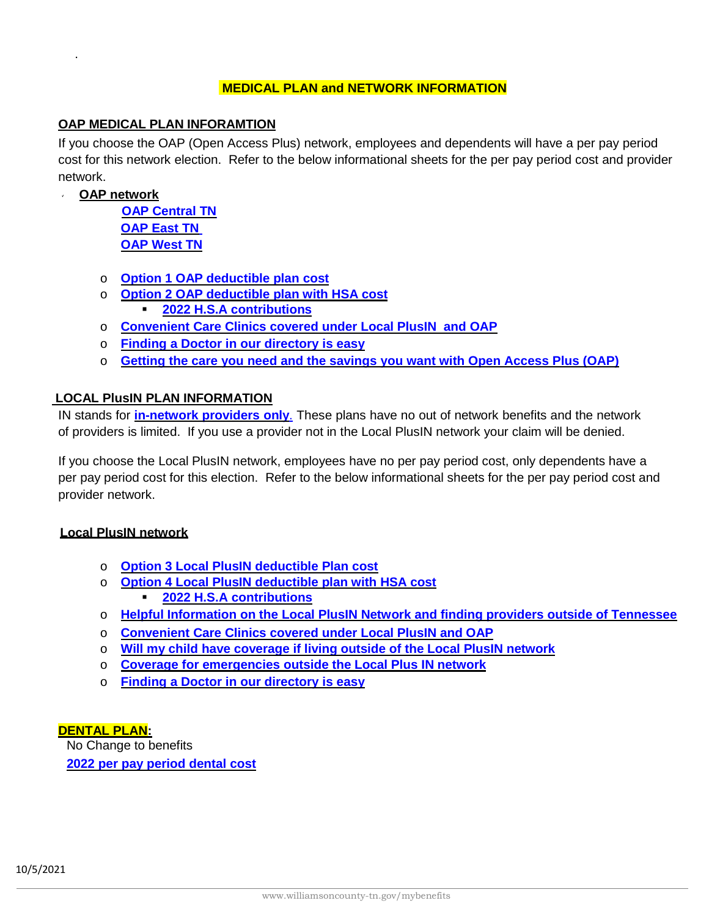#### **MEDICAL PLAN and NETWORK INFORMATION**

#### **OAP MEDICAL PLAN INFORAMTION**

If you choose the OAP (Open Access Plus) network, employees and dependents will have a per pay period cost for this network election. Refer to the below informational sheets for the per pay period cost and provider network.

**OAP network**

.

**[OAP Central](https://www.williamsoncounty-tn.gov/DocumentCenter/View/21692/OAP-Central) TN [OAP East](https://www.williamsoncounty-tn.gov/DocumentCenter/View/21693/OAP-East) TN [OAP West](https://www.williamsoncounty-tn.gov/DocumentCenter/View/21694/OAP-West) TN**

- o **Option 1 [OAP deductible plan](https://www.williamsoncounty-tn.gov/DocumentCenter/View/21695/Option-1-OAP-deductible-plan-cost) cost**
- o **Option 2 [OAP deductible plan](https://www.williamsoncounty-tn.gov/DocumentCenter/View/21696/Option-2-OAP-deductible-plan-cost) with HSA cost 2022 [H.S.A contributions](https://www.williamsoncounty-tn.gov/DocumentCenter/View/21686/HSA-2021-ltr-to-participants)**
- o **Convenient Care Clinics [covered under](https://www.williamsoncounty-tn.gov/DocumentCenter/View/21680/Convenience-Care-Clinics) Local PlusIN and OAP**
- o **[Finding a Doctor in our directory is easy](https://www.williamsoncounty-tn.gov/DocumentCenter/View/21684/Find-a-Doctor-Open-Enrollment-Flyer)**
- o **[Getting the care you need and the savings](https://www.williamsoncounty-tn.gov/DocumentCenter/View/21691/Medical-Open-Access-Plus-Customer-Flyer) you want with Open Access Plus (OAP)**

#### **LOCAL PlusIN PLAN INFORMATION**

IN stands for **in-network [providers only](https://www.williamsoncounty-tn.gov/DocumentCenter/View/21689/Local-Plus-IN)**. These plans have no out of network benefits and the network of providers is limited. If you use a provider not in the Local PlusIN network your claim will be denied.

If you choose the Local PlusIN network, employees have no per pay period cost, only dependents have a per pay period cost for this election. Refer to the below informational sheets for the per pay period cost and provider network.

#### **Local PlusIN network**

- o **Option 3 Local PlusIN [deductible Plan cost](https://www.williamsoncounty-tn.gov/DocumentCenter/View/21697/Option-3-Local-PlusIN-deductible-plan-cost)**
- o **Option 4 Local PlusIN [deductible plan](https://www.williamsoncounty-tn.gov/DocumentCenter/View/21698/Option-4-Local-PlusIN-deductible-plan-cost) with HSA cost 2022 [H.S.A contributions](https://www.williamsoncounty-tn.gov/DocumentCenter/View/21686/HSA-2021-ltr-to-participants)**
- o **Helpful Information on the Local PlusIN Network and finding [providers outside of](https://www.williamsoncounty-tn.gov/DocumentCenter/View/21690/LocalPlus-In-Network-Customer-Flyer) Tennessee**
- o **Convenient [Care Clinics covered under](https://www.williamsoncounty-tn.gov/DocumentCenter/View/21680/Convenience-Care-Clinics) Local PlusIN and OAP**
- o **Will my [child have coverage if](https://www.williamsoncounty-tn.gov/DocumentCenter/View/21682/Coverage-for-Dependents-out-of-the-Local-PlusIN-service-area) living outside of the Local PlusIN network**
- o **[Coverage for emergencies](https://www.williamsoncounty-tn.gov/DocumentCenter/View/21688/LIFE-THREATENING-MEDICAL-EMERGENCIES) outside the Local Plus IN network**
- o **[Finding a Doctor in our directory is easy](https://www.williamsoncounty-tn.gov/DocumentCenter/View/21684/Find-a-Doctor-Open-Enrollment-Flyer)**

#### **DENTAL PLAN:**

No Change to benefits **2022 per pay [period dental cost](https://www.williamsoncounty-tn.gov/DocumentCenter/View/21683/Dental-website-OE-2022)**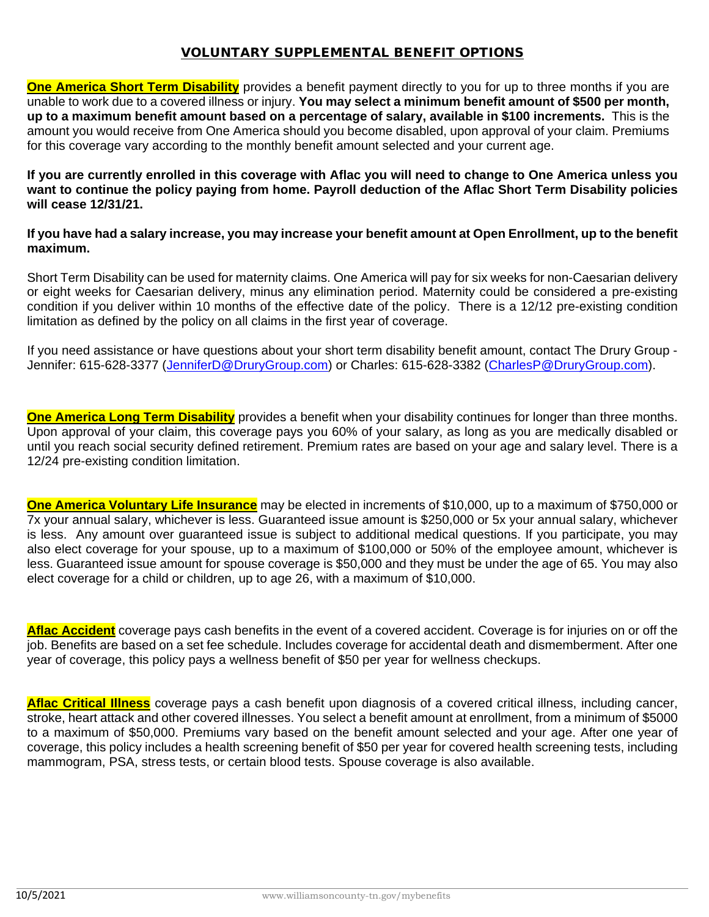### VOLUNTARY SUPPLEMENTAL BENEFIT OPTIONS

**One America Short Term Disability** provides a benefit payment directly to you for up to three months if you are unable to work due to a covered illness or injury. **You may select a minimum benefit amount of \$500 per month, up to a maximum benefit amount based on a percentage of salary, available in \$100 increments.** This is the amount you would receive from One America should you become disabled, upon approval of your claim. Premiums for this coverage vary according to the monthly benefit amount selected and your current age.

**If you are currently enrolled in this coverage with Aflac you will need to change to One America unless you want to continue the policy paying from home. Payroll deduction of the Aflac Short Term Disability policies will cease 12/31/21.** 

#### **If you have had a salary increase, you may increase your benefit amount at Open Enrollment, up to the benefit maximum.**

Short Term Disability can be used for maternity claims. One America will pay for six weeks for non-Caesarian delivery or eight weeks for Caesarian delivery, minus any elimination period. Maternity could be considered a pre-existing condition if you deliver within 10 months of the effective date of the policy. There is a 12/12 pre-existing condition limitation as defined by the policy on all claims in the first year of coverage.

If you need assistance or have questions about your short term disability benefit amount, contact The Drury Group - Jennifer: 615-628-3377 [\(JenniferD@DruryGroup.com\)](mailto:JenniferD@DruryGroup.com) or Charles: 615-628-3382 [\(CharlesP@DruryGroup.com\)](mailto:CharlesP@DruryGroup.com).

**One America Long Term Disability** provides a benefit when your disability continues for longer than three months. Upon approval of your claim, this coverage pays you 60% of your salary, as long as you are medically disabled or until you reach social security defined retirement. Premium rates are based on your age and salary level. There is a 12/24 pre-existing condition limitation.

**One America Voluntary Life Insurance** may be elected in increments of \$10,000, up to a maximum of \$750,000 or 7x your annual salary, whichever is less. Guaranteed issue amount is \$250,000 or 5x your annual salary, whichever is less. Any amount over guaranteed issue is subject to additional medical questions. If you participate, you may also elect coverage for your spouse, up to a maximum of \$100,000 or 50% of the employee amount, whichever is less. Guaranteed issue amount for spouse coverage is \$50,000 and they must be under the age of 65. You may also elect coverage for a child or children, up to age 26, with a maximum of \$10,000.

**Aflac Accident** coverage pays cash benefits in the event of a covered accident. Coverage is for injuries on or off the job. Benefits are based on a set fee schedule. Includes coverage for accidental death and dismemberment. After one year of coverage, this policy pays a wellness benefit of \$50 per year for wellness checkups.

**Aflac Critical Illness** coverage pays a cash benefit upon diagnosis of a covered critical illness, including cancer, stroke, heart attack and other covered illnesses. You select a benefit amount at enrollment, from a minimum of \$5000 to a maximum of \$50,000. Premiums vary based on the benefit amount selected and your age. After one year of coverage, this policy includes a health screening benefit of \$50 per year for covered health screening tests, including mammogram, PSA, stress tests, or certain blood tests. Spouse coverage is also available.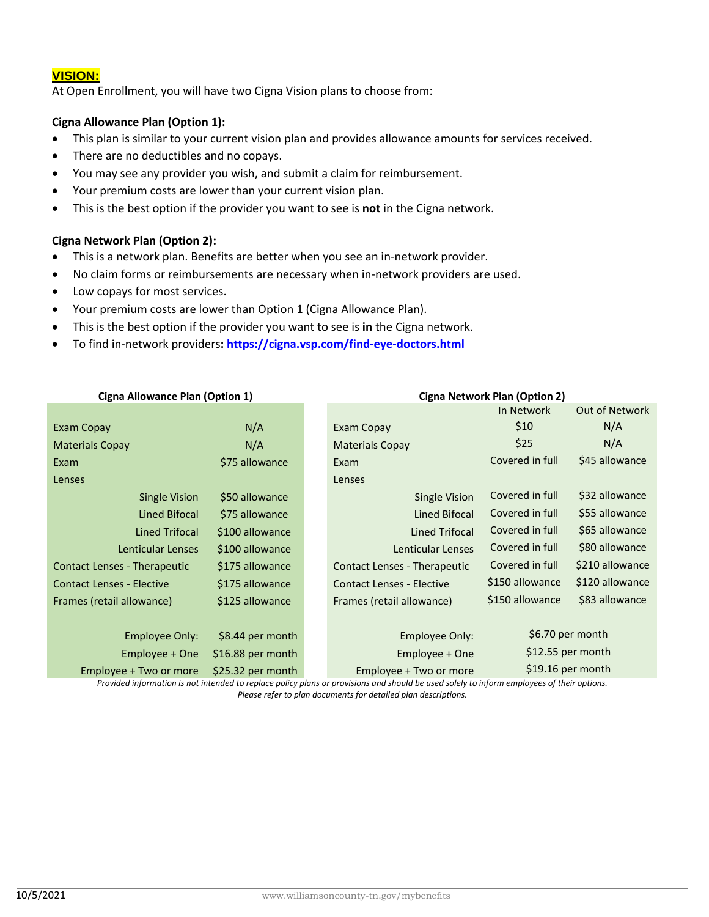#### **VISION:**

At Open Enrollment, you will have two Cigna Vision plans to choose from:

#### **Cigna Allowance Plan (Option 1):**

- This plan is similar to your current vision plan and provides allowance amounts for services received.
- There are no deductibles and no copays.
- You may see any provider you wish, and submit a claim for reimbursement.
- Your premium costs are lower than your current vision plan.
- This is the best option if the provider you want to see is **not** in the Cigna network.

#### **Cigna Network Plan (Option 2):**

- This is a network plan. Benefits are better when you see an in-network provider.
- No claim forms or reimbursements are necessary when in-network providers are used.
- Low copays for most services.
- Your premium costs are lower than Option 1 (Cigna Allowance Plan).
- This is the best option if the provider you want to see is **in** the Cigna network.
- To find in-network providers**:<https://cigna.vsp.com/find-eye-doctors.html>**

| Cigna Allowance Pian (Option 1)             |                   |  | Cigna Network Plan (Option 2)       |                   |                       |
|---------------------------------------------|-------------------|--|-------------------------------------|-------------------|-----------------------|
|                                             |                   |  |                                     | In Network        | <b>Out of Network</b> |
| <b>Exam Copay</b>                           | N/A               |  | Exam Copay                          | \$10              | N/A                   |
| <b>Materials Copay</b>                      | N/A               |  | <b>Materials Copay</b>              | \$25              | N/A                   |
| Exam                                        | \$75 allowance    |  | Exam                                | Covered in full   | \$45 allowance        |
| Lenses                                      |                   |  | Lenses                              |                   |                       |
| <b>Single Vision</b>                        | \$50 allowance    |  | <b>Single Vision</b>                | Covered in full   | \$32 allowance        |
| Lined Bifocal                               | \$75 allowance    |  | Lined Bifocal                       | Covered in full   | \$55 allowance        |
| Lined Trifocal                              | \$100 allowance   |  | <b>Lined Trifocal</b>               | Covered in full   | \$65 allowance        |
| Lenticular Lenses                           | \$100 allowance   |  | Lenticular Lenses                   | Covered in full   | \$80 allowance        |
| Contact Lenses - Therapeutic                | \$175 allowance   |  | <b>Contact Lenses - Therapeutic</b> | Covered in full   | \$210 allowance       |
| <b>Contact Lenses - Elective</b>            | \$175 allowance   |  | <b>Contact Lenses - Elective</b>    | \$150 allowance   | \$120 allowance       |
| Frames (retail allowance)                   | \$125 allowance   |  | Frames (retail allowance)           | \$150 allowance   | \$83 allowance        |
|                                             |                   |  |                                     |                   |                       |
| Employee Only:                              | \$8.44 per month  |  | Employee Only:                      | \$6.70 per month  |                       |
| Employee + One                              | \$16.88 per month |  | Employee + One                      | \$12.55 per month |                       |
| \$25.32 per month<br>Employee + Two or more |                   |  | Employee + Two or more              | \$19.16 per month |                       |

*Provided information is not intended to replace policy plans or provisions and should be used solely to inform employees of their options. Please refer to plan documents for detailed plan descriptions.*

#### **Cigna Allowance Plan (Option 1) Cigna Network Plan (Option 2)**